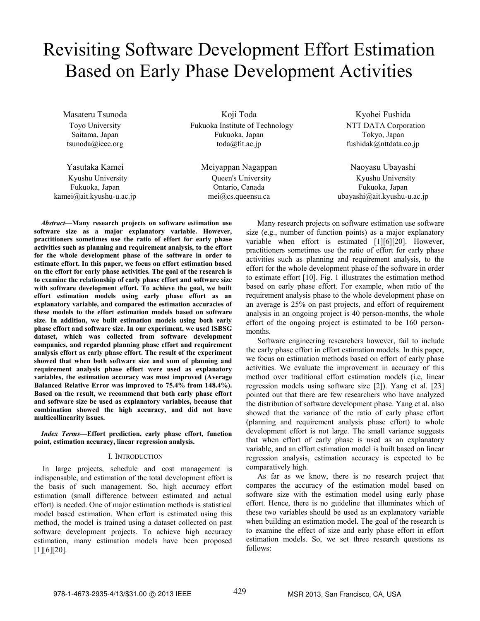# Revisiting Software Development Effort Estimation Based on Early Phase Development Activities

Masateru Tsunoda Toyo University Saitama, Japan tsunoda@ieee.org

Yasutaka Kamei Kyushu University Fukuoka, Japan kamei@ait.kyushu-u.ac.jp

Koji Toda Fukuoka Institute of Technology Fukuoka, Japan toda@fit.ac.jp

> Meiyappan Nagappan Queen's University Ontario, Canada mei@cs.queensu.ca

Kyohei Fushida NTT DATA Corporation Tokyo, Japan fushidak@nttdata.co.jp

Naoyasu Ubayashi Kyushu University Fukuoka, Japan ubayashi@ait.kyushu-u.ac.jp

*Abstract***—Many research projects on software estimation use software size as a major explanatory variable. However, practitioners sometimes use the ratio of effort for early phase activities such as planning and requirement analysis, to the effort for the whole development phase of the software in order to estimate effort. In this paper, we focus on effort estimation based on the effort for early phase activities. The goal of the research is to examine the relationship of early phase effort and software size with software development effort. To achieve the goal, we built effort estimation models using early phase effort as an explanatory variable, and compared the estimation accuracies of these models to the effort estimation models based on software size. In addition, we built estimation models using both early phase effort and software size. In our experiment, we used ISBSG dataset, which was collected from software development companies, and regarded planning phase effort and requirement analysis effort as early phase effort. The result of the experiment showed that when both software size and sum of planning and requirement analysis phase effort were used as explanatory variables, the estimation accuracy was most improved (Average Balanced Relative Error was improved to 75.4% from 148.4%). Based on the result, we recommend that both early phase effort and software size be used as explanatory variables, because that combination showed the high accuracy, and did not have multicollinearity issues.**

*Index Terms***—Effort prediction, early phase effort, function point, estimation accuracy, linear regression analysis.**

#### I. INTRODUCTION

In large projects, schedule and cost management is indispensable, and estimation of the total development effort is the basis of such management. So, high accuracy effort estimation (small difference between estimated and actual effort) is needed. One of major estimation methods is statistical model based estimation. When effort is estimated using this method, the model is trained using a dataset collected on past software development projects. To achieve high accuracy estimation, many estimation models have been proposed [1][6][20].

Many research projects on software estimation use software size (e.g., number of function points) as a major explanatory variable when effort is estimated [1][6][20]. However, practitioners sometimes use the ratio of effort for early phase activities such as planning and requirement analysis, to the effort for the whole development phase of the software in order to estimate effort [10]. Fig. 1 illustrates the estimation method based on early phase effort. For example, when ratio of the requirement analysis phase to the whole development phase on an average is 25% on past projects, and effort of requirement analysis in an ongoing project is 40 person-months, the whole effort of the ongoing project is estimated to be 160 personmonths.

Software engineering researchers however, fail to include the early phase effort in effort estimation models. In this paper, we focus on estimation methods based on effort of early phase activities. We evaluate the improvement in accuracy of this method over traditional effort estimation models (i.e, linear regression models using software size [2]). Yang et al. [23] pointed out that there are few researchers who have analyzed the distribution of software development phase. Yang et al. also showed that the variance of the ratio of early phase effort (planning and requirement analysis phase effort) to whole development effort is not large. The small variance suggests that when effort of early phase is used as an explanatory variable, and an effort estimation model is built based on linear regression analysis, estimation accuracy is expected to be comparatively high.

As far as we know, there is no research project that compares the accuracy of the estimation model based on software size with the estimation model using early phase effort. Hence, there is no guideline that illuminates which of these two variables should be used as an explanatory variable when building an estimation model. The goal of the research is to examine the effect of size and early phase effort in effort estimation models. So, we set three research questions as follows: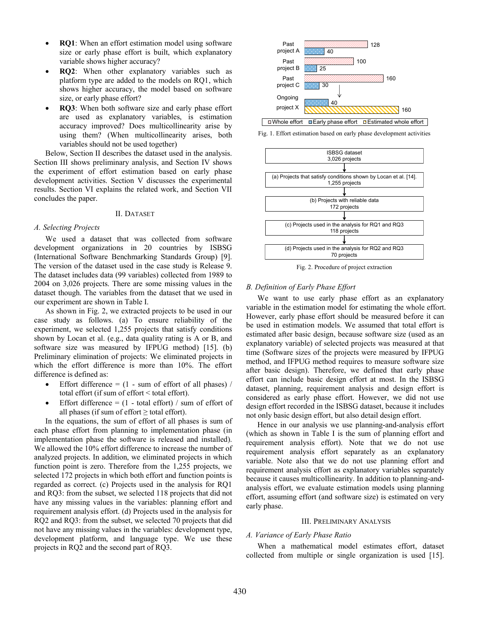- **RQ1**: When an effort estimation model using software size or early phase effort is built, which explanatory variable shows higher accuracy?
- **RQ2**: When other explanatory variables such as platform type are added to the models on RQ1, which shows higher accuracy, the model based on software size, or early phase effort?
- **RQ3**: When both software size and early phase effort are used as explanatory variables, is estimation accuracy improved? Does multicollinearity arise by using them? (When multicollinearity arises, both variables should not be used together)

Below, Section II describes the dataset used in the analysis. Section III shows preliminary analysis, and Section IV shows the experiment of effort estimation based on early phase development activities. Section V discusses the experimental results. Section VI explains the related work, and Section VII concludes the paper.

#### II. DATASET

#### *A. Selecting Projects*

We used a dataset that was collected from software development organizations in 20 countries by ISBSG (International Software Benchmarking Standards Group) [9]. The version of the dataset used in the case study is Release 9. The dataset includes data (99 variables) collected from 1989 to 2004 on 3,026 projects. There are some missing values in the dataset though. The variables from the dataset that we used in our experiment are shown in Table I.

As shown in Fig. 2, we extracted projects to be used in our case study as follows. (a) To ensure reliability of the experiment, we selected 1,255 projects that satisfy conditions shown by Locan et al. (e.g., data quality rating is A or B, and software size was measured by IFPUG method) [15]. (b) Preliminary elimination of projects: We eliminated projects in which the effort difference is more than 10%. The effort difference is defined as:

- Effort difference  $= (1 \text{sum of effort of all phases})/$ total effort (if sum of effort < total effort).
- Effort difference  $= (1 \text{total effort}) / \text{sum of effort of}$ all phases (if sum of effort  $\geq$  total effort).

In the equations, the sum of effort of all phases is sum of each phase effort from planning to implementation phase (in implementation phase the software is released and installed). We allowed the 10% effort difference to increase the number of analyzed projects. In addition, we eliminated projects in which function point is zero. Therefore from the 1,255 projects, we selected 172 projects in which both effort and function points is regarded as correct. (c) Projects used in the analysis for RQ1 and RQ3: from the subset, we selected 118 projects that did not have any missing values in the variables: planning effort and requirement analysis effort. (d) Projects used in the analysis for RQ2 and RQ3: from the subset, we selected 70 projects that did not have any missing values in the variables: development type, development platform, and language type. We use these projects in RQ2 and the second part of RQ3.



Fig. 1. Effort estimation based on early phase development activities



Fig. 2. Procedure of project extraction

#### *B. Definition of Early Phase Effort*

We want to use early phase effort as an explanatory variable in the estimation model for estimating the whole effort. However, early phase effort should be measured before it can be used in estimation models. We assumed that total effort is estimated after basic design, because software size (used as an explanatory variable) of selected projects was measured at that time (Software sizes of the projects were measured by IFPUG method, and IFPUG method requires to measure software size after basic design). Therefore, we defined that early phase effort can include basic design effort at most. In the ISBSG dataset, planning, requirement analysis and design effort is considered as early phase effort. However, we did not use design effort recorded in the ISBSG dataset, because it includes not only basic design effort, but also detail design effort.

Hence in our analysis we use planning-and-analysis effort (which as shown in Table I is the sum of planning effort and requirement analysis effort). Note that we do not use requirement analysis effort separately as an explanatory variable. Note also that we do not use planning effort and requirement analysis effort as explanatory variables separately because it causes multicollinearity. In addition to planning-andanalysis effort, we evaluate estimation models using planning effort, assuming effort (and software size) is estimated on very early phase.

## III. PRELIMINARY ANALYSIS

## *A. Variance of Early Phase Ratio*

When a mathematical model estimates effort, dataset collected from multiple or single organization is used [15].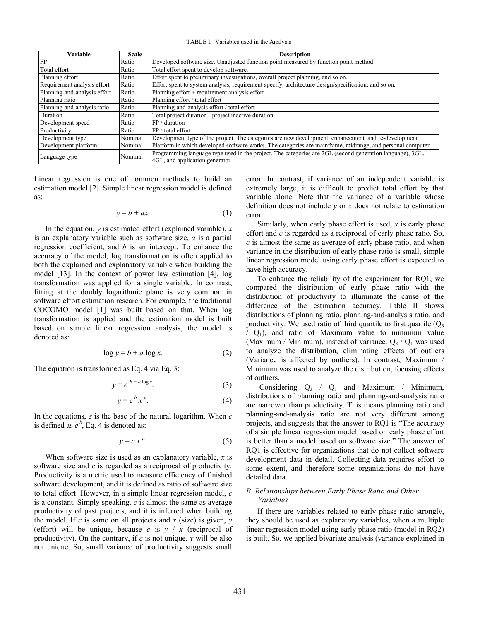TABLE I. Variables used in the Analysis

| Variable                     | <b>Scale</b> | <b>Description</b>                                                                                        |
|------------------------------|--------------|-----------------------------------------------------------------------------------------------------------|
| <b>FP</b>                    | Ratio        | Developed software size. Unadjusted function point measured by function point method.                     |
| Total effort                 | Ratio        | Total effort spent to develop software.                                                                   |
| Planning effort              | Ratio        | Effort spent to preliminary investigations, overall project planning, and so on.                          |
| Requirement analysis effort  | Ratio        | Effort spent to system analysis, requirement specify, architecture design/specification, and so on.       |
| Planning-and-analysis effort | Ratio        | Planning effort + requirement analysis effort                                                             |
| Planning ratio               | Ratio        | Planning effort / total effort                                                                            |
| Planning-and-analysis ratio  | Ratio        | Planning-and-analysis effort / total effort                                                               |
| Duration                     | Ratio        | Total project duration - project inactive duration                                                        |
| Development speed            | Ratio        | FP / duration                                                                                             |
| Productivity                 | Ratio        | FP / total effort                                                                                         |
| Development type             | Nominal      | Development type of the project. The categories are new development, enhancement, and re-development      |
| Development platform         | Nominal      | Platform in which developed software works. The categories are mainframe, midrange, and personal computer |
|                              | Nominal      | Programming language type used in the project. The categories are 2GL (second generation language), 3GL,  |
| Language type                |              | 4GL, and application generator                                                                            |

Linear regression is one of common methods to build an estimation model [2]. Simple linear regression model is defined as:

$$
y = b + ax.\tag{1}
$$

In the equation, *y* is estimated effort (explained variable), *x* is an explanatory variable such as software size, *a* is a partial regression coefficient, and *b* is an intercept. To enhance the accuracy of the model, log transformation is often applied to both the explained and explanatory variable when building the model [13]. In the context of power law estimation [4], log transformation was applied for a single variable. In contrast, fitting at the doubly logarithmic plane is very common in software effort estimation research. For example, the traditional COCOMO model [1] was built based on that. When log transformation is applied and the estimation model is built based on simple linear regression analysis, the model is denoted as:

$$
\log y = b + a \log x. \tag{2}
$$

The equation is transformed as Eq. 4 via Eq. 3:

$$
y = e^{b + a \log x}.\tag{3}
$$

$$
y = e^b x^a. \tag{4}
$$

In the equations, *e* is the base of the natural logarithm. When *c* is defined as  $e^b$ , Eq. 4 is denoted as:

$$
y = c x^a. \tag{5}
$$

When software size is used as an explanatory variable, *x* is software size and *c* is regarded as a reciprocal of productivity. Productivity is a metric used to measure efficiency of finished software development, and it is defined as ratio of software size to total effort. However, in a simple linear regression model, *c* is a constant. Simply speaking, *c* is almost the same as average productivity of past projects, and it is inferred when building the model. If *c* is same on all projects and *x* (size) is given, *y* (effort) will be unique, because  $c$  is  $y / x$  (reciprocal of productivity). On the contrary, if *c* is not unique, *y* will be also not unique. So, small variance of productivity suggests small

error. In contrast, if variance of an independent variable is extremely large, it is difficult to predict total effort by that variable alone. Note that the variance of a variable whose definition does not include  $y$  or  $x$  does not relate to estimation error.

Similarly, when early phase effort is used, *x* is early phase effort and *c* is regarded as a reciprocal of early phase ratio. So, *c* is almost the same as average of early phase ratio, and when variance in the distribution of early phase ratio is small, simple linear regression model using early phase effort is expected to have high accuracy.

To enhance the reliability of the experiment for RQ1, we compared the distribution of early phase ratio with the distribution of productivity to illuminate the cause of the difference of the estimation accuracy. Table II shows distributions of planning ratio, planning-and-analysis ratio, and productivity. We used ratio of third quartile to first quartile  $(Q_3)$  $Q_1$ ), and ratio of Maximum value to minimum value (Maximum / Minimum), instead of variance.  $Q_3 / Q_1$  was used to analyze the distribution, eliminating effects of outliers (Variance is affected by outliers). In contrast, Maximum / Minimum was used to analyze the distribution, focusing effects of outliers.

Considering  $Q_3$  /  $Q_1$  and Maximum / Minimum, distributions of planning ratio and planning-and-analysis ratio are narrower than productivity. This means planning ratio and planning-and-analysis ratio are not very different among projects, and suggests that the answer to RQ1 is "The accuracy of a simple linear regression model based on early phase effort is better than a model based on software size." The answer of RQ1 is effective for organizations that do not collect software development data in detail. Collecting data requires effort to some extent, and therefore some organizations do not have detailed data.

## *B. Relationships between Early Phase Ratio and Other Variables*

If there are variables related to early phase ratio strongly, they should be used as explanatory variables, when a multiple linear regression model using early phase ratio (model in RQ2) is built. So, we applied bivariate analysis (variance explained in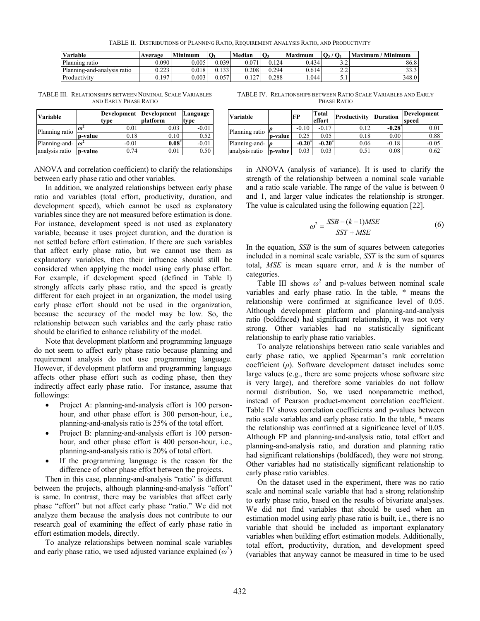TABLE II. DISTRIBUTIONS OF PLANNING RATIO, REQUIREMENT ANALYSIS RATIO, AND PRODUCTIVITY

| Variable                    | Average        | <b>Minimum</b> |       | Median | $\mathbf{Q}_3$ | <b>Maximum</b> | $Q_3$<br>$\mathbf{O}_1$ | Minimum<br>Maximum / |
|-----------------------------|----------------|----------------|-------|--------|----------------|----------------|-------------------------|----------------------|
| Planning ratio              | 0.090          | 0.005          | 0.039 | 0.071  | 0.124          | 0.434          | ے ۔                     | 86.8                 |
| Planning-and-analysis ratio | 0.223<br>0.22J | 0.018          | 0.133 | 0.208  | 0.294          | 0.614          | <u>.</u>                | 222<br>د.دد          |
| Productivity                | 0.197          | 0.003          | 0.057 | 0.127  | 0.288          | .044           | $\sim$ . $\sim$         | 348.0                |

TABLE III. RELATIONSHIPS BETWEEN NOMINAL SCALE VARIABLES AND EARLY PHASE RATIO

TABLE IV. RELATIONSHIPS BETWEEN RATIO SCALE VARIABLES AND EARLY PHASE RATIO

| <b>Variable</b> |          | Development Development<br>type | platform | Language<br><b>Itype</b> | Variable       |         | FP              | Fotal<br>effort | <b>Productivity</b> | <b>Duration</b>      | Development<br>speed |
|-----------------|----------|---------------------------------|----------|--------------------------|----------------|---------|-----------------|-----------------|---------------------|----------------------|----------------------|
|                 |          | 0.01                            | 0.03     | $-0.01$                  | Planning ratio |         | $-0.10$         | $-0.1^{\circ}$  | 0.12                | $-0.28$ <sup>*</sup> | 0.01                 |
| Planning ratio  | p-value  | 0.18                            | 0.10     | 0.52                     |                | p-value | いつぐ<br>۔ ے ر    | 0.05            | 0.18                | 0.00                 | 0.88                 |
| Planning-and-   | $\omega$ | $-0.01$                         | 0.08     | $-0.01$                  | Planning-and-  |         | $-0.20^{\circ}$ | $-0.20"$        | 0.06                | $-0.18$              | $-0.05$              |
| analysis ratio  | p-value  | 0.74                            | 0.01     | 0.50                     | analysis ratio | p-value | 0.03            | 0.03            | 0.5                 | 0.08                 | 0.62                 |

ANOVA and correlation coefficient) to clarify the relationships between early phase ratio and other variables.

In addition, we analyzed relationships between early phase ratio and variables (total effort, productivity, duration, and development speed), which cannot be used as explanatory variables since they are not measured before estimation is done. For instance, development speed is not used as explanatory variable, because it uses project duration, and the duration is not settled before effort estimation. If there are such variables that affect early phase ratio, but we cannot use them as explanatory variables, then their influence should still be considered when applying the model using early phase effort. For example, if development speed (defined in Table I) strongly affects early phase ratio, and the speed is greatly different for each project in an organization, the model using early phase effort should not be used in the organization, because the accuracy of the model may be low. So, the relationship between such variables and the early phase ratio should be clarified to enhance reliability of the model.

Note that development platform and programming language do not seem to affect early phase ratio because planning and requirement analysis do not use programming language. However, if development platform and programming language affects other phase effort such as coding phase, then they indirectly affect early phase ratio. For instance, assume that followings:

- Project A: planning-and-analysis effort is 100 personhour, and other phase effort is 300 person-hour, i.e., planning-and-analysis ratio is 25% of the total effort.
- Project B: planning-and-analysis effort is 100 personhour, and other phase effort is 400 person-hour, i.e., planning-and-analysis ratio is 20% of total effort.
- If the programming language is the reason for the difference of other phase effort between the projects.

Then in this case, planning-and-analysis "ratio" is different between the projects, although planning-and-analysis "effort" is same. In contrast, there may be variables that affect early phase "effort" but not affect early phase "ratio." We did not analyze them because the analysis does not contribute to our research goal of examining the effect of early phase ratio in effort estimation models, directly.

To analyze relationships between nominal scale variables and early phase ratio, we used adjusted variance explained  $(\omega^2)$ 

in ANOVA (analysis of variance). It is used to clarify the strength of the relationship between a nominal scale variable and a ratio scale variable. The range of the value is between 0 and 1, and larger value indicates the relationship is stronger. The value is calculated using the following equation [22].

$$
\omega^2 = \frac{SSB - (k-1)MSE}{SST + MSE} \tag{6}
$$

In the equation, *SSB* is the sum of squares between categories included in a nominal scale variable, *SST* is the sum of squares total, *MSE* is mean square error, and *k* is the number of categories.

Table III shows  $\omega^2$  and p-values between nominal scale variables and early phase ratio. In the table, \* means the relationship were confirmed at significance level of 0.05. Although development platform and planning-and-analysis ratio (boldfaced) had significant relationship, it was not very strong. Other variables had no statistically significant relationship to early phase ratio variables.

To analyze relationships between ratio scale variables and early phase ratio, we applied Spearman's rank correlation coefficient (*ρ*). Software development dataset includes some large values (e.g., there are some projects whose software size is very large), and therefore some variables do not follow normal distribution. So, we used nonparametric method, instead of Pearson product-moment correlation coefficient. Table IV shows correlation coefficients and p-values between ratio scale variables and early phase ratio. In the table, \* means the relationship was confirmed at a significance level of 0.05. Although FP and planning-and-analysis ratio, total effort and planning-and-analysis ratio, and duration and planning ratio had significant relationships (boldfaced), they were not strong. Other variables had no statistically significant relationship to early phase ratio variables.

On the dataset used in the experiment, there was no ratio scale and nominal scale variable that had a strong relationship to early phase ratio, based on the results of bivariate analyses. We did not find variables that should be used when an estimation model using early phase ratio is built, i.e., there is no variable that should be included as important explanatory variables when building effort estimation models. Additionally, total effort, productivity, duration, and development speed (variables that anyway cannot be measured in time to be used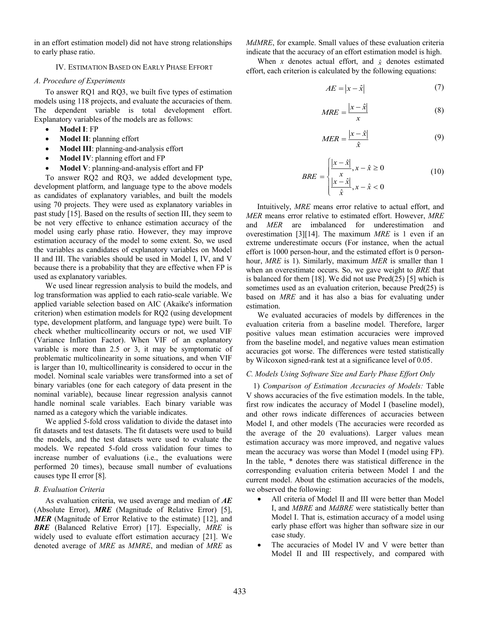in an effort estimation model) did not have strong relationships to early phase ratio.

## IV. ESTIMATION BASED ON EARLY PHASE EFFORT

## *A. Procedure of Experiments*

To answer RQ1 and RQ3, we built five types of estimation models using 118 projects, and evaluate the accuracies of them. The dependent variable is total development effort. Explanatory variables of the models are as follows:

- **Model I**: FP
- **Model II**: planning effort
- **Model III**: planning-and-analysis effort
- **Model IV**: planning effort and FP
- **Model V**: planning-and-analysis effort and FP

To answer RQ2 and RQ3, we added development type, development platform, and language type to the above models as candidates of explanatory variables, and built the models using 70 projects. They were used as explanatory variables in past study [15]. Based on the results of section III, they seem to be not very effective to enhance estimation accuracy of the model using early phase ratio. However, they may improve estimation accuracy of the model to some extent. So, we used the variables as candidates of explanatory variables on Model II and III. The variables should be used in Model I, IV, and V because there is a probability that they are effective when FP is used as explanatory variables.

We used linear regression analysis to build the models, and log transformation was applied to each ratio-scale variable. We applied variable selection based on AIC (Akaike's information criterion) when estimation models for RQ2 (using development type, development platform, and language type) were built. To check whether multicollinearity occurs or not, we used VIF (Variance Inflation Factor). When VIF of an explanatory variable is more than 2.5 or 3, it may be symptomatic of problematic multicolinearity in some situations, and when VIF is larger than 10, multicollinearity is considered to occur in the model. Nominal scale variables were transformed into a set of binary variables (one for each category of data present in the nominal variable), because linear regression analysis cannot handle nominal scale variables. Each binary variable was named as a category which the variable indicates.

We applied 5-fold cross validation to divide the dataset into fit datasets and test datasets. The fit datasets were used to build the models, and the test datasets were used to evaluate the models. We repeated 5-fold cross validation four times to increase number of evaluations (i.e., the evaluations were performed 20 times), because small number of evaluations causes type II error [8].

#### *B. Evaluation Criteria*

As evaluation criteria, we used average and median of *AE* (Absolute Error), *MRE* (Magnitude of Relative Error) [5], *MER* (Magnitude of Error Relative to the estimate) [12], and *BRE* (Balanced Relative Error) [17]. Especially, *MRE* is widely used to evaluate effort estimation accuracy [21]. We denoted average of *MRE* as *MMRE*, and median of *MRE* as *MdMRE*, for example. Small values of these evaluation criteria indicate that the accuracy of an effort estimation model is high.

When *x* denotes actual effort, and  $\hat{x}$  denotes estimated effort, each criterion is calculated by the following equations:

$$
AE = |x - \hat{x}| \tag{7}
$$

$$
MRE = \frac{|x - \hat{x}|}{x}
$$
 (8)

$$
MER = \frac{|x - \hat{x}|}{\hat{x}} \tag{9}
$$

$$
BRE = \begin{cases} \frac{|x-\hat{x}|}{x}, x-\hat{x} \ge 0\\ \frac{|x-\hat{x}|}{\hat{x}}, x-\hat{x} < 0 \end{cases}
$$
(10)

Intuitively, *MRE* means error relative to actual effort, and *MER* means error relative to estimated effort. However, *MRE* and *MER* are imbalanced for underestimation and overestimation [3][14]. The maximum *MRE* is 1 even if an extreme underestimate occurs (For instance, when the actual effort is 1000 person-hour, and the estimated effort is 0 personhour, *MRE* is 1). Similarly, maximum *MER* is smaller than 1 when an overestimate occurs. So, we gave weight to *BRE* that is balanced for them [18]. We did not use Pred(25) [5] which is sometimes used as an evaluation criterion, because Pred(25) is based on *MRE* and it has also a bias for evaluating under estimation.

We evaluated accuracies of models by differences in the evaluation criteria from a baseline model. Therefore, larger positive values mean estimation accuracies were improved from the baseline model, and negative values mean estimation accuracies got worse. The differences were tested statistically by Wilcoxon signed-rank test at a significance level of 0.05.

### *C. Models Using Software Size and Early Phase Effort Only*

1) *Comparison of Estimation Accuracies of Models:* Table V shows accuracies of the five estimation models. In the table, first row indicates the accuracy of Model I (baseline model), and other rows indicate differences of accuracies between Model I, and other models (The accuracies were recorded as the average of the 20 evaluations). Larger values mean estimation accuracy was more improved, and negative values mean the accuracy was worse than Model I (model using FP). In the table, \* denotes there was statistical difference in the corresponding evaluation criteria between Model I and the current model. About the estimation accuracies of the models, we observed the following:

- All criteria of Model II and III were better than Model I, and *MBRE* and *MdBRE* were statistically better than Model I. That is, estimation accuracy of a model using early phase effort was higher than software size in our case study.
- The accuracies of Model IV and V were better than Model II and III respectively, and compared with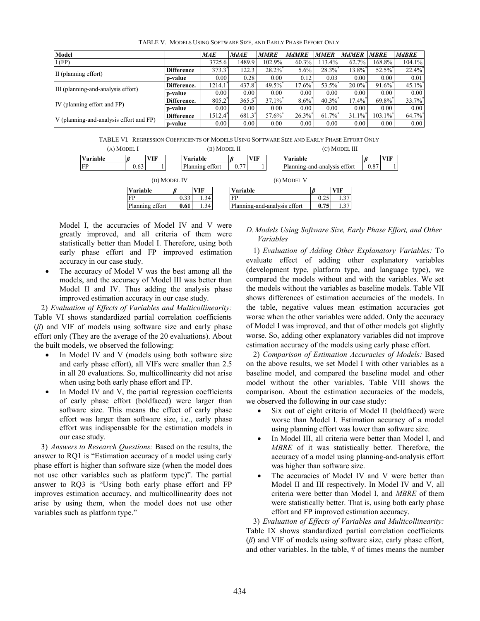| <b>Model</b>                            |                   | <b>MAE</b> | MdAE              | <b>MMRE</b>           | <b>MdMRE</b> | <b>MMER</b> | <b>MdMER</b>             | <b>MBRE</b>                                   | <b>MdBRE</b>          |
|-----------------------------------------|-------------------|------------|-------------------|-----------------------|--------------|-------------|--------------------------|-----------------------------------------------|-----------------------|
| $I$ (FP)                                |                   | 3725.6     | 1489.9            | 102.9%                | 60.3%        | 13.4%       | 62.7%                    | 168.8%                                        | $104.1\%$             |
| II (planning effort)                    | <b>Difference</b> | 373.3      | 122.1             | $28.2\%$              | $5.6\%$      | $28.3\%$    | $13.8\%$                 | $52.5\%$                                      | $22.4\%$              |
|                                         | p-value           | 0.00       | 0.28              | 0.00                  | 0.12         | 0.03        | 0.00                     | 0.00                                          | 0.01                  |
| III (planning-and-analysis effort)      | Difference.       | 1214.1     | $437.8^{\degree}$ | $49.5\%$              | $17.6\%$     | 53.5%       | $20.0\%$                 | $91.6\%$                                      | $45.1\%$ <sup>*</sup> |
|                                         | p-value           | 0.00       | 0.00              | 0.00                  | 0.00         | 0.00        | 0.00                     | 0.00<br>$69.8\%$<br>0.00<br>$103.1\%$<br>0.00 | 0.00                  |
| IV (planning effort and FP)             | Difference.       | 805.2      | 365.5             | $37.1\%$ <sup>*</sup> | $8.6\%$      | $40.3\%$    | $17.4\%$                 |                                               | $33.7\%$ <sup>*</sup> |
|                                         | p-value           | 0.00       | 0.00 <sub>1</sub> | 0.00                  | 0.00         | 0.00        | 0.00<br>$31.1\%$<br>0.00 | 0.00                                          |                       |
| V (planning-and-analysis effort and FP) | <b>Difference</b> | 1512.4*    | 681.3             | $57.6\%$              | $26.3\%$     | $61.7\%$    |                          |                                               | 64.7%*                |
|                                         | p-value           | 0.00       | 0.00              | 0.00                  | 0.00         | 0.00        |                          | 0.00 <sub>1</sub>                             |                       |

TABLE V. MODELS USING SOFTWARE SIZE, AND EARLY PHASE EFFORT ONLY

TABLE VI. REGRESSION COEFFICIENTS OF MODELS USING SOFTWARE SIZE AND EARLY PHASE EFFORT ONLY

|           | (A) MODEL I  |                 | (b) Model II |                 |  |          |     | (C) MODEL III |                              |      |            |  |      |            |
|-----------|--------------|-----------------|--------------|-----------------|--|----------|-----|---------------|------------------------------|------|------------|--|------|------------|
| Variable  |              | VIF             |              | Variable        |  |          | VIF |               | Variable                     |      |            |  |      | <b>VIF</b> |
| <b>FP</b> | 0.63         |                 |              | Planning effort |  | 0.77     |     |               | Planning-and-analysis effort |      |            |  | 0.87 |            |
|           | (D) MODEL IV |                 |              |                 |  |          |     | (E) MODEL V   |                              |      |            |  |      |            |
|           | Variable     |                 |              | VIF             |  | Variable |     |               |                              |      | <b>VIF</b> |  |      |            |
|           | FP           |                 | 0.33         | 1.34            |  | FP       |     |               |                              | 0.25 | 1.37       |  |      |            |
|           |              | Planning effort | 0.61         | 1.34            |  |          |     |               | Planning-and-analysis effort | 0.75 | 1.37       |  |      |            |

Model I, the accuracies of Model IV and V were greatly improved, and all criteria of them were statistically better than Model I. Therefore, using both early phase effort and FP improved estimation accuracy in our case study.

 The accuracy of Model V was the best among all the models, and the accuracy of Model III was better than Model II and IV. Thus adding the analysis phase improved estimation accuracy in our case study.

2) *Evaluation of Effects of Variables and Multicollinearity:*  Table VI shows standardized partial correlation coefficients (*β*) and VIF of models using software size and early phase effort only (They are the average of the 20 evaluations). About the built models, we observed the following:

- In Model IV and V (models using both software size and early phase effort), all VIFs were smaller than 2.5 in all 20 evaluations. So, multicollinearity did not arise when using both early phase effort and FP.
- In Model IV and V, the partial regression coefficients of early phase effort (boldfaced) were larger than software size. This means the effect of early phase effort was larger than software size, i.e., early phase effort was indispensable for the estimation models in our case study.

3) *Answers to Research Questions:* Based on the results, the answer to RQ1 is "Estimation accuracy of a model using early phase effort is higher than software size (when the model does not use other variables such as platform type)". The partial answer to RQ3 is "Using both early phase effort and FP improves estimation accuracy, and multicollinearity does not arise by using them, when the model does not use other variables such as platform type."

# *D. Models Using Software Size, Early Phase Effort, and Other Variables*

1) *Evaluation of Adding Other Explanatory Variables:* To evaluate effect of adding other explanatory variables (development type, platform type, and language type), we compared the models without and with the variables. We set the models without the variables as baseline models. Table VII shows differences of estimation accuracies of the models. In the table, negative values mean estimation accuracies got worse when the other variables were added. Only the accuracy of Model I was improved, and that of other models got slightly worse. So, adding other explanatory variables did not improve estimation accuracy of the models using early phase effort.

2) *Comparison of Estimation Accuracies of Models:* Based on the above results, we set Model I with other variables as a baseline model, and compared the baseline model and other model without the other variables. Table VIII shows the comparison. About the estimation accuracies of the models, we observed the following in our case study:

- Six out of eight criteria of Model II (boldfaced) were worse than Model I. Estimation accuracy of a model using planning effort was lower than software size.
- In Model III, all criteria were better than Model I, and *MBRE* of it was statistically better. Therefore, the accuracy of a model using planning-and-analysis effort was higher than software size.
- The accuracies of Model IV and V were better than Model II and III respectively. In Model IV and V, all criteria were better than Model I, and *MBRE* of them were statistically better. That is, using both early phase effort and FP improved estimation accuracy.

3) *Evaluation of Effects of Variables and Multicollinearity:*  Table IX shows standardized partial correlation coefficients (*β*) and VIF of models using software size, early phase effort, and other variables. In the table, # of times means the number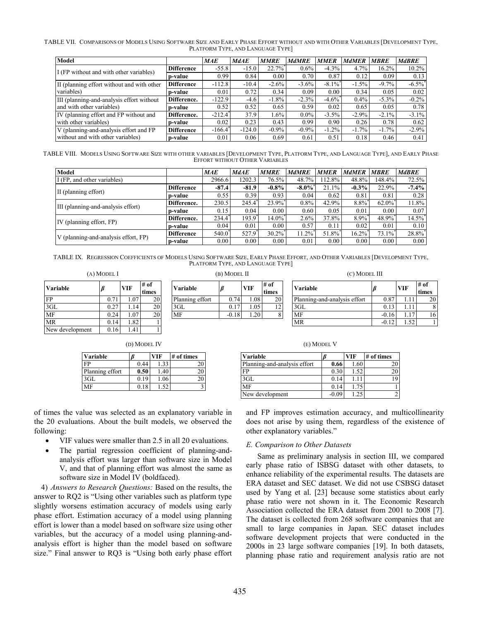TABLE VII. COMPARISONS OF MODELS USING SOFTWARE SIZE AND EARLY PHASE EFFORT WITHOUT AND WITH OTHER VARIABLES [DEVELOPMENT TYPE, PLATFORM TYPE, AND LANGUAGE TYPE]

| <b>Model</b>                               |                   | MAE       | MdAE     | <b>MMRE</b> | <b>MdMRE</b> | <b>MMER</b> | <b>MdMER</b> | <b>MBRE</b> | <b>MdBRE</b>          |
|--------------------------------------------|-------------------|-----------|----------|-------------|--------------|-------------|--------------|-------------|-----------------------|
| I (FP without and with other variables)    | <b>Difference</b> | $-55.8$   | $-15.0$  | 22.7%       | $0.6\%$      | $-4.3\%$    | 4.7%         | 16.2%       | $10.2\%$              |
|                                            | p-value           | 0.99      | 0.84     | 0.00        | 0.70         | 0.87        | 0.12         | 0.09        | 0.13                  |
| II (planning effort without and with other | <b>Difference</b> | $-112.8$  | $-10.4$  | $-2.6%$     | $-3.6\%$     | $-8.1\%$    | $-1.5\%$     | $-9.7\%$    | $-6.5\%$ <sup>*</sup> |
| variables)                                 | p-value           | 0.01      | 0.72     | 0.34        | 0.09         | 0.00        | 0.34         | 0.05        | 0.02                  |
| III (planning-and-analysis effort without) | Difference.       | $-122.9$  | $-4.6$   | $-1.8\%$    | $-2.3\%$     | $-4.6\%$    | $0.4\%$      | $-5.3\%$    | $-0.2\%$              |
| and with other variables)                  | p-value           | 0.52      | 0.52     | 0.65        | 0.59         | 0.02        | 0.65         | 0.05        | 0.78                  |
| IV (planning effort and FP without and     | Difference.       | $-212.4"$ | 37.9     | 1.6%        | $0.0\%$      | $-3.5\%$    | $-2.9\%$     | $-2.1\%$    | $-3.1\%$              |
| with other variables)                      | p-value           | 0.02      | 0.23     | 0.43        | 0.99         | 0.90        | 0.26         | 0.78        | 0.62                  |
| V (planning-and-analysis effort and FP     | <b>Difference</b> | $-166.4$  | $-124.0$ | $-0.9\%$    | $-0.9\%$     | $-1.2\%$    | $-1.7\%$     | $-1.7\%$    | $-2.9\%$              |
| without and with other variables)          | p-value           | 0.01      | 0.06     | 0.69        | 0.61         | 0.51        | 0.18         | 0.46        | 0.41                  |

|  | TABLE VIII. MODELS USING SOFTWARE SIZE WITH OTHER VARIABLES [DEVELOPMENT TYPE. PLATFORM TYPE. AND LANGUAGE TYPE]. AND EARLY PHASE |  |  |
|--|-----------------------------------------------------------------------------------------------------------------------------------|--|--|
|  | EFFORT WITHOUT OTHER VARIABLES                                                                                                    |  |  |

| Model                                |                   | <b>MAE</b>         | <b>MdAE</b> | <b>MMRE</b> | <b>MdMRE</b>                                                            | <b>MMER</b> | <b>MdMER</b> | <b>MBRE</b>                                                     | <b>MdBRE</b> |
|--------------------------------------|-------------------|--------------------|-------------|-------------|-------------------------------------------------------------------------|-------------|--------------|-----------------------------------------------------------------|--------------|
| I (FP, and other variables)          |                   | 2966.6             | 1202.3      | 76.5%       | 48.7%                                                                   | 12.8%       |              |                                                                 | 72.5%        |
|                                      | <b>Difference</b> | $-87.4$            | $-81.9$     | $-0.8\%$    | $-8.0\%$                                                                | 21.1%       |              |                                                                 | $-7.4%$      |
| II (planning effort)                 | p-value           | 0.55               | 0.39        | 0.93        | 0.04                                                                    | 0.62        | 0.81         | 0.81                                                            | 0.28         |
| III (planning-and-analysis effort)   | Difference.       | 230.5              | $245.4^*$   | $23.9\%$    | 0.8%                                                                    |             | $8.8\%$      | $62.0\%$                                                        | 11.8%        |
|                                      | p-value           | 0.15               | 0.04        | 0.00        | 0.60                                                                    | 0.05        | 0.01         | 148.4%<br>22.9%<br>0.00<br>$48.9\%$<br>0.01<br>$73.1\%$<br>0.00 | 0.07         |
| IV (planning effort, FP)             | Difference.       | 234.4              | 193.9°      | $14.0\%$    | 2.6%                                                                    |             | $8.9\%$      |                                                                 | $14.5\%$     |
|                                      | p-value           | 0.04               | 0.01        | 0.00        | 42.9%<br>37.8%<br>0.57<br>0.11<br>0.02<br>51.8%<br>$11.2\%$<br>$16.2\%$ |             | 0.10         |                                                                 |              |
| V (planning-and-analysis effort, FP) | <b>Difference</b> | 540.0 <sup>*</sup> | 527.9       | $30.2\%$    |                                                                         |             |              |                                                                 | $28.8\%$     |
|                                      | p-value           | 0.001              | 0.00        | 0.00        | 0.01                                                                    | 0.00        |              | 48.8%<br>$-0.3\%$<br>0.00                                       | 0.00         |

TABLE IX. REGRESSION COEFFICIENTS OF MODELS USING SOFTWARE SIZE, EARLY PHASE EFFORT, AND OTHER VARIABLES [DEVELOPMENT TYPE, PLATFORM TYPE, AND LANGUAGE TYPE]

|                 | $(A)$ MODEL I |               |               | (B) MODEL II |                 |         |               |                 |  | (C) MODEL III                |         |            |                 |  |  |
|-----------------|---------------|---------------|---------------|--------------|-----------------|---------|---------------|-----------------|--|------------------------------|---------|------------|-----------------|--|--|
| Variable        |               | VIF           | # of<br>times |              | <b>Variable</b> |         | <b>VIF</b>    | $#$ of<br>times |  | <b>Variable</b>              |         | <b>VIF</b> | # of<br>times   |  |  |
| FP              | $_{0.71}$     | $.07^{\circ}$ | 20            |              | Planning effort | 0.74    | $.08^{\circ}$ | 20              |  | Planning-and-analysis effort | 0.87    | 1.1.       | 20              |  |  |
| 3GL             | 0.27          | 1.14          | 20            |              | 3GL             | 0.17    | 1.05          | 12              |  | 13GL                         | 0.13    |            |                 |  |  |
| <b>MF</b>       | 0.24          | 1.07          | 20            |              | <b>MF</b>       | $-0.18$ | .20           |                 |  | <b>MF</b>                    | $-0.16$ | 1.1        | 16 <sup>1</sup> |  |  |
| <b>MR</b>       | 0.14          | 1.82          |               |              |                 |         |               |                 |  | <b>MR</b>                    | $-0.12$ | .52        |                 |  |  |
| New development | 0.16          | 1.41          |               |              |                 |         |               |                 |  |                              |         |            |                 |  |  |

(D) MODEL IV (E) MODEL V

| Variable        |      | VIF  | # of times |
|-----------------|------|------|------------|
| FP              | 0.44 | 1.33 |            |
| Planning effort | 0.50 | .40  |            |
| 3GL             | 0.19 | 1.06 |            |
|                 |      | .52  |            |

of times the value was selected as an explanatory variable in the 20 evaluations. About the built models, we observed the following:

- VIF values were smaller than 2.5 in all 20 evaluations.
- The partial regression coefficient of planning-andanalysis effort was larger than software size in Model V, and that of planning effort was almost the same as software size in Model IV (boldfaced).

4) *Answers to Research Questions:* Based on the results, the answer to RQ2 is "Using other variables such as platform type slightly worsens estimation accuracy of models using early phase effort. Estimation accuracy of a model using planning effort is lower than a model based on software size using other variables, but the accuracy of a model using planning-andanalysis effort is higher than the model based on software size." Final answer to RQ3 is "Using both early phase effort

| Variable        |      | VIF | $#$ of times | Variable                     |         | <b>VIF</b>       | # of times      |
|-----------------|------|-----|--------------|------------------------------|---------|------------------|-----------------|
| FP              | 0.44 | .33 | 20           | Planning-and-analysis effort | 0.66    | .60 <sub>1</sub> | 20'             |
| Planning effort | 0.50 | .40 | 20           | FP                           | 0.30    | . .52            | 20 <sup>1</sup> |
| 3GL             | 0.19 | .06 | 20           | 3GL                          | 0.14    |                  | 101             |
| MF              | 0.18 | 50  |              | <b>MF</b>                    | 0.14    | 1.75             |                 |
|                 |      |     |              | New development              | $-0.09$ | 25               |                 |

and FP improves estimation accuracy, and multicollinearity does not arise by using them, regardless of the existence of other explanatory variables."

## *E. Comparison to Other Datasets*

Same as preliminary analysis in section III, we compared early phase ratio of ISBSG dataset with other datasets, to enhance reliability of the experimental results. The datasets are ERA dataset and SEC dataset. We did not use CSBSG dataset used by Yang et al. [23] because some statistics about early phase ratio were not shown in it. The Economic Research Association collected the ERA dataset from 2001 to 2008 [7]. The dataset is collected from 268 software companies that are small to large companies in Japan. SEC dataset includes software development projects that were conducted in the 2000s in 23 large software companies [19]. In both datasets, planning phase ratio and requirement analysis ratio are not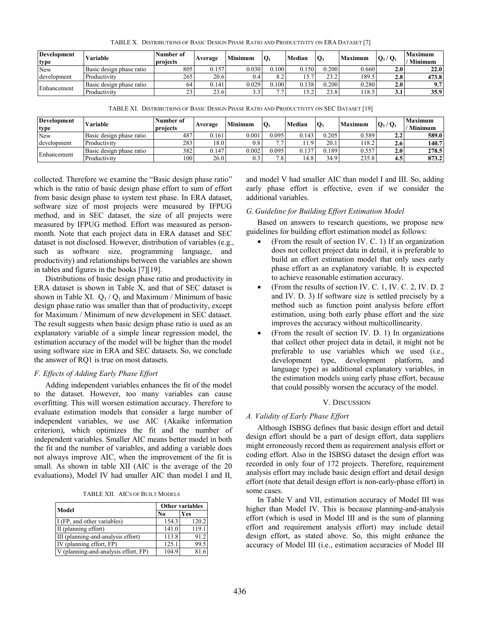TABLE X. DISTRIBUTIONS OF BASIC DESIGN PHASE RATIO AND PRODUCTIVITY ON ERA DATASET [7]

| <b>Development</b><br>type | Variable                        | Number of<br>projects | Average        | <b>Minimum</b> | $Q_1$         | Median | $\mathbf{Q}_3$ | <b>Maximum</b> | $Q_3/Q_1$ | <b>Maximum</b><br>Minimum |
|----------------------------|---------------------------------|-----------------------|----------------|----------------|---------------|--------|----------------|----------------|-----------|---------------------------|
| New                        | Basic design phase ratio        | 805                   | 0.157          | 0.030          | .100          | 1.150  | 0.200          | 0.660          | 2.0       | 22.0                      |
| development                | Productivity                    | 265                   | 20.6           | 0.4            | 8.2           | 5.7ء   | າາາ            | 189.5          | 2.8       | 473.8                     |
| Enhancement                | <b>Basic design phase ratio</b> | 64                    | ).141          | 0.029          | .100          | 0.138  | 0.200          | 0.280          | 2.0       | 9.7 <sub>1</sub>          |
|                            | Productivity                    |                       | $\sim$<br>23.6 | ن. ب           | $\sim$ $\sim$ | 1 J.Z  | 23.8           | . 18.5         | J.I       | 35.9                      |

|  |  |  | TABLE XI. DISTRIBUTIONS OF BASIC DESIGN PHASE RATIO AND PRODUCTIVITY ON SEC DATASET [19] |  |  |  |
|--|--|--|------------------------------------------------------------------------------------------|--|--|--|
|--|--|--|------------------------------------------------------------------------------------------|--|--|--|

| Development<br>type | <b>Variable</b>          | Number of<br>projects | Average | <b>Minimum</b> | $\mathbf{Q}_1$ | Median | $Q_3$ | <b>Maximum</b> | $Q_3/Q_1$ | <b>Maximum</b><br><b>Minimum</b> |
|---------------------|--------------------------|-----------------------|---------|----------------|----------------|--------|-------|----------------|-----------|----------------------------------|
| <b>New</b>          | Basic design phase ratio | 487                   | 0.161   | 0.001          | 0.095          | 0.143  | 0.205 | 0.589          | 2.2       | 589.0                            |
| development         | Productivity             | 2831                  | 18.0    | 0.8            | $\sim$ $\sim$  | 1.9    | 20.1  | 18.2           | 2.6       | 140.7                            |
| Enhancement         | Basic design phase ratio | 3821                  | 0.147   | 0.002          | 0.095          | .137   | 0.189 | 0.557          | 2.0       | 278.5                            |
|                     | Productivity             | 100                   | 26.0    | 0.3            | 7.8            | 4.8    | 34.9  | 235.8          | 4.5       | 873.2                            |

collected. Therefore we examine the "Basic design phase ratio" which is the ratio of basic design phase effort to sum of effort from basic design phase to system test phase. In ERA dataset, software size of most projects were measured by IFPUG method, and in SEC dataset, the size of all projects were measured by IFPUG method. Effort was measured as personmonth. Note that each project data in ERA dataset and SEC dataset is not disclosed. However, distribution of variables (e.g., such as software size, programming language, and productivity) and relationships between the variables are shown in tables and figures in the books [7][19].

Distributions of basic design phase ratio and productivity in ERA dataset is shown in Table X, and that of SEC dataset is shown in Table XI.  $Q_3/Q_1$  and Maximum / Minimum of basic design phase ratio was smaller than that of productivity, except for Maximum / Minimum of new development in SEC dataset. The result suggests when basic design phase ratio is used as an explanatory variable of a simple linear regression model, the estimation accuracy of the model will be higher than the model using software size in ERA and SEC datasets. So, we conclude the answer of RQ1 is true on most datasets.

## *F. Effects of Adding Early Phase Effort*

Adding independent variables enhances the fit of the model to the dataset. However, too many variables can cause overfitting. This will worsen estimation accuracy. Therefore to evaluate estimation models that consider a large number of independent variables, we use AIC (Akaike information criterion), which optimizes the fit and the number of independent variables. Smaller AIC means better model in both the fit and the number of variables, and adding a variable does not always improve AIC, when the improvement of the fit is small. As shown in table XII (AIC is the average of the 20 evaluations), Model IV had smaller AIC than model I and II,

TABLE XII. AICS OF BUILT MODELS

| Model                                | Other variables |       |  |  |  |
|--------------------------------------|-----------------|-------|--|--|--|
|                                      | No              | Yes   |  |  |  |
| I (FP, and other variables)          | 154.3           | 120.2 |  |  |  |
| II (planning effort)                 | 141.0           | 119.1 |  |  |  |
| III (planning-and-analysis effort)   | 113.8           | 91.2  |  |  |  |
| IV (planning effort, FP)             | 125.1           | 99.5  |  |  |  |
| V (planning-and-analysis effort, FP) | 104.9           |       |  |  |  |

and model V had smaller AIC than model I and III. So, adding early phase effort is effective, even if we consider the additional variables.

#### *G. Guideline for Building Effort Estimation Model*

Based on answers to research questions, we propose new guidelines for building effort estimation model as follows:

- (From the result of section IV. C. 1) If an organization does not collect project data in detail, it is preferable to build an effort estimation model that only uses early phase effort as an explanatory variable. It is expected to achieve reasonable estimation accuracy.
- (From the results of section IV. C. 1, IV. C. 2, IV. D. 2 and IV. D. 3) If software size is settled precisely by a method such as function point analysis before effort estimation, using both early phase effort and the size improves the accuracy without multicollinearity.
- (From the result of section IV. D. 1) In organizations that collect other project data in detail, it might not be preferable to use variables which we used (i.e., development type, development platform, and language type) as additional explanatory variables, in the estimation models using early phase effort, because that could possibly worsen the accuracy of the model.

#### V. DISCUSSION

#### *A. Validity of Early Phase Effort*

Although ISBSG defines that basic design effort and detail design effort should be a part of design effort, data suppliers might erroneously record them as requirement analysis effort or coding effort. Also in the ISBSG dataset the design effort was recorded in only four of 172 projects. Therefore, requirement analysis effort may include basic design effort and detail design effort (note that detail design effort is non-early-phase effort) in some cases.

In Table V and VII, estimation accuracy of Model III was higher than Model IV. This is because planning-and-analysis effort (which is used in Model III and is the sum of planning effort and requirement analysis effort) may include detail design effort, as stated above. So, this might enhance the accuracy of Model III (i.e., estimation accuracies of Model III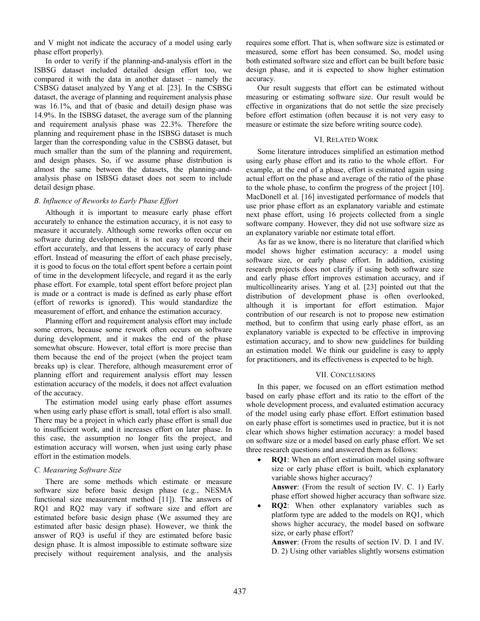and V might not indicate the accuracy of a model using early phase effort properly).

In order to verify if the planning-and-analysis effort in the ISBSG dataset included detailed design effort too, we compared it with the data in another dataset – namely the CSBSG dataset analyzed by Yang et al. [23]. In the CSBSG dataset, the average of planning and requirement analysis phase was 16.1%, and that of (basic and detail) design phase was 14.9%. In the ISBSG dataset, the average sum of the planning and requirement analysis phase was 22.3%. Therefore the planning and requirement phase in the ISBSG dataset is much larger than the corresponding value in the CSBSG dataset, but much smaller than the sum of the planning and requirement, and design phases. So, if we assume phase distribution is almost the same between the datasets, the planning-andanalysis phase on ISBSG dataset does not seem to include detail design phase.

## *B. Influence of Reworks to Early Phase Effort*

Although it is important to measure early phase effort accurately to enhance the estimation accuracy, it is not easy to measure it accurately. Although some reworks often occur on software during development, it is not easy to record their effort accurately, and that lessens the accuracy of early phase effort. Instead of measuring the effort of each phase precisely, it is good to focus on the total effort spent before a certain point of time in the development lifecycle, and regard it as the early phase effort. For example, total spent effort before project plan is made or a contract is made is defined as early phase effort (effort of reworks is ignored). This would standardize the measurement of effort, and enhance the estimation accuracy.

Planning effort and requirement analysis effort may include some errors, because some rework often occurs on software during development, and it makes the end of the phase somewhat obscure. However, total effort is more precise than them because the end of the project (when the project team breaks up) is clear. Therefore, although measurement error of planning effort and requirement analysis effort may lessen estimation accuracy of the models, it does not affect evaluation of the accuracy.

The estimation model using early phase effort assumes when using early phase effort is small, total effort is also small. There may be a project in which early phase effort is small due to insufficient work, and it increases effort on later phase. In this case, the assumption no longer fits the project, and estimation accuracy will worsen, when just using early phase effort in the estimation models.

## *C. Measuring Software Size*

There are some methods which estimate or measure software size before basic design phase (e.g., NESMA functional size measurement method [11]). The answers of RQ1 and RQ2 may vary if software size and effort are estimated before basic design phase (We assumed they are estimated after basic design phase). However, we think the answer of RQ3 is useful if they are estimated before basic design phase. It is almost impossible to estimate software size precisely without requirement analysis, and the analysis requires some effort. That is, when software size is estimated or measured, some effort has been consumed. So, model using both estimated software size and effort can be built before basic design phase, and it is expected to show higher estimation accuracy.

Our result suggests that effort can be estimated without measuring or estimating software size. Our result would be effective in organizations that do not settle the size precisely before effort estimation (often because it is not very easy to measure or estimate the size before writing source code).

## VI. RELATED WORK

Some literature introduces simplified an estimation method using early phase effort and its ratio to the whole effort. For example, at the end of a phase, effort is estimated again using actual effort on the phase and average of the ratio of the phase to the whole phase, to confirm the progress of the project [10]. MacDonell et al. [16] investigated performance of models that use prior phase effort as an explanatory variable and estimate next phase effort, using 16 projects collected from a single software company. However, they did not use software size as an explanatory variable nor estimate total effort.

As far as we know, there is no literature that clarified which model shows higher estimation accuracy: a model using software size, or early phase effort. In addition, existing research projects does not clarify if using both software size and early phase effort improves estimation accuracy, and if multicollinearity arises. Yang et al. [23] pointed out that the distribution of development phase is often overlooked, although it is important for effort estimation. Major contribution of our research is not to propose new estimation method, but to confirm that using early phase effort, as an explanatory variable is expected to be effective in improving estimation accuracy, and to show new guidelines for building an estimation model. We think our guideline is easy to apply for practitioners, and its effectiveness is expected to be high.

# VII. CONCLUSIONS

In this paper, we focused on an effort estimation method based on early phase effort and its ratio to the effort of the whole development process, and evaluated estimation accuracy of the model using early phase effort. Effort estimation based on early phase effort is sometimes used in practice, but it is not clear which shows higher estimation accuracy: a model based on software size or a model based on early phase effort. We set three research questions and answered them as follows:

- **RQ1**: When an effort estimation model using software size or early phase effort is built, which explanatory variable shows higher accuracy? **Answer**: (From the result of section IV. C. 1) Early phase effort showed higher accuracy than software size.
- **RQ2**: When other explanatory variables such as platform type are added to the models on RQ1, which shows higher accuracy, the model based on software size, or early phase effort?

**Answer**: (From the results of section IV. D. 1 and IV. D. 2) Using other variables slightly worsens estimation